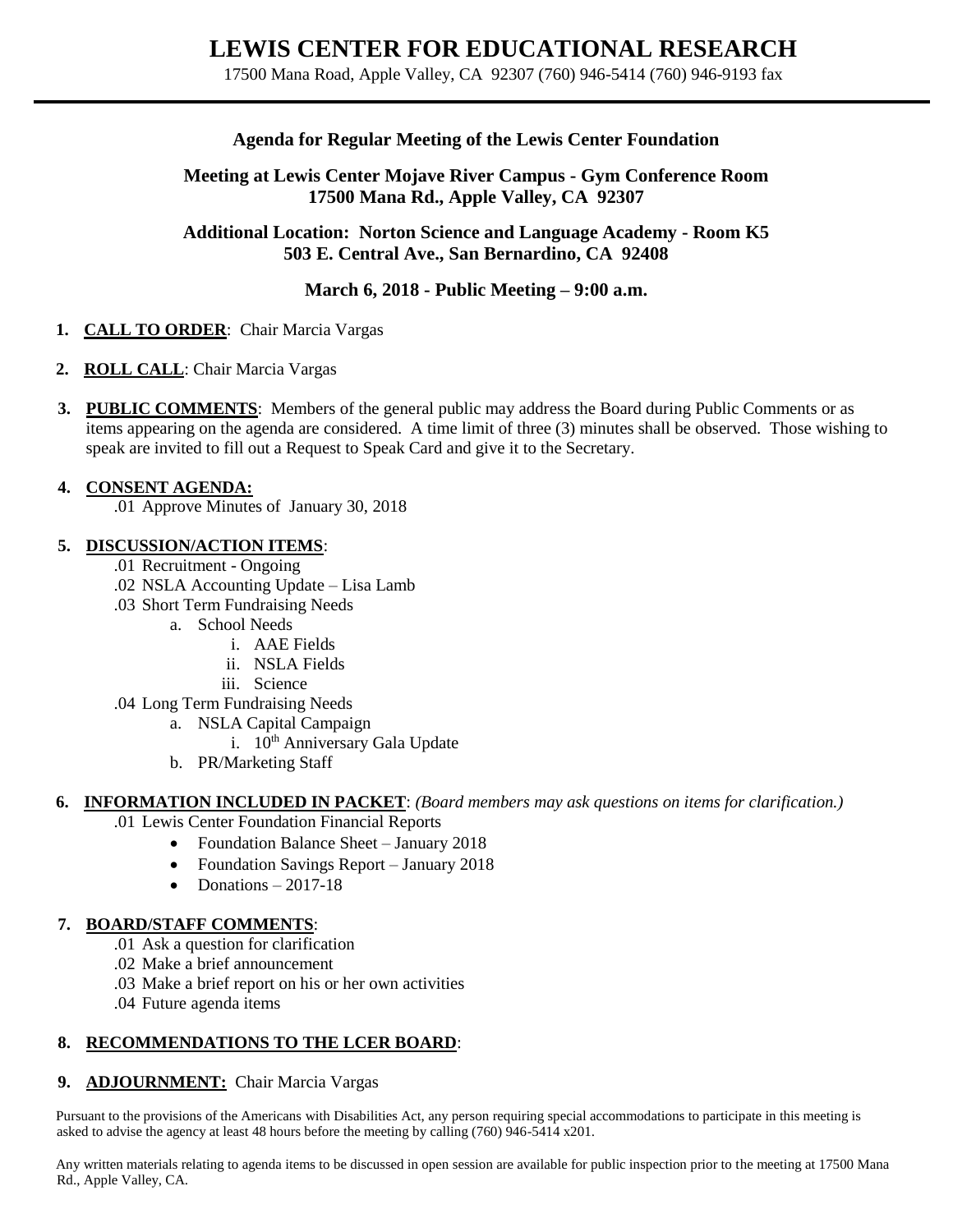## **LEWIS CENTER FOR EDUCATIONAL RESEARCH**

17500 Mana Road, Apple Valley, CA 92307 (760) 946-5414 (760) 946-9193 fax

### **Agenda for Regular Meeting of the Lewis Center Foundation**

## **Meeting at Lewis Center Mojave River Campus - Gym Conference Room 17500 Mana Rd., Apple Valley, CA 92307**

**Additional Location: Norton Science and Language Academy - Room K5 503 E. Central Ave., San Bernardino, CA 92408**

### **March 6, 2018 - Public Meeting – 9:00 a.m.**

#### **1. CALL TO ORDER**: Chair Marcia Vargas

- **2. ROLL CALL**: Chair Marcia Vargas
- **3. PUBLIC COMMENTS**: Members of the general public may address the Board during Public Comments or as items appearing on the agenda are considered. A time limit of three (3) minutes shall be observed. Those wishing to speak are invited to fill out a Request to Speak Card and give it to the Secretary.

#### **4. CONSENT AGENDA:**

.01 Approve Minutes of January 30, 2018

#### **5. DISCUSSION/ACTION ITEMS**:

- .01 Recruitment Ongoing
- .02 NSLA Accounting Update Lisa Lamb
- .03 Short Term Fundraising Needs
	- a. School Needs
		- i. AAE Fields
		- ii. NSLA Fields
		- iii. Science
- .04 Long Term Fundraising Needs
	- a. NSLA Capital Campaign
		- i. 10<sup>th</sup> Anniversary Gala Update
	- b. PR/Marketing Staff

#### **6. INFORMATION INCLUDED IN PACKET**: *(Board members may ask questions on items for clarification.)*

- .01 Lewis Center Foundation Financial Reports
	- Foundation Balance Sheet January 2018
	- Foundation Savings Report January 2018
	- $\bullet$  Donations 2017-18

#### **7. BOARD/STAFF COMMENTS**:

- .01 Ask a question for clarification
- .02 Make a brief announcement
- .03 Make a brief report on his or her own activities
- .04 Future agenda items

#### **8. RECOMMENDATIONS TO THE LCER BOARD**:

#### **9. ADJOURNMENT:** Chair Marcia Vargas

Pursuant to the provisions of the Americans with Disabilities Act, any person requiring special accommodations to participate in this meeting is asked to advise the agency at least 48 hours before the meeting by calling (760) 946-5414 x201.

Any written materials relating to agenda items to be discussed in open session are available for public inspection prior to the meeting at 17500 Mana Rd., Apple Valley, CA.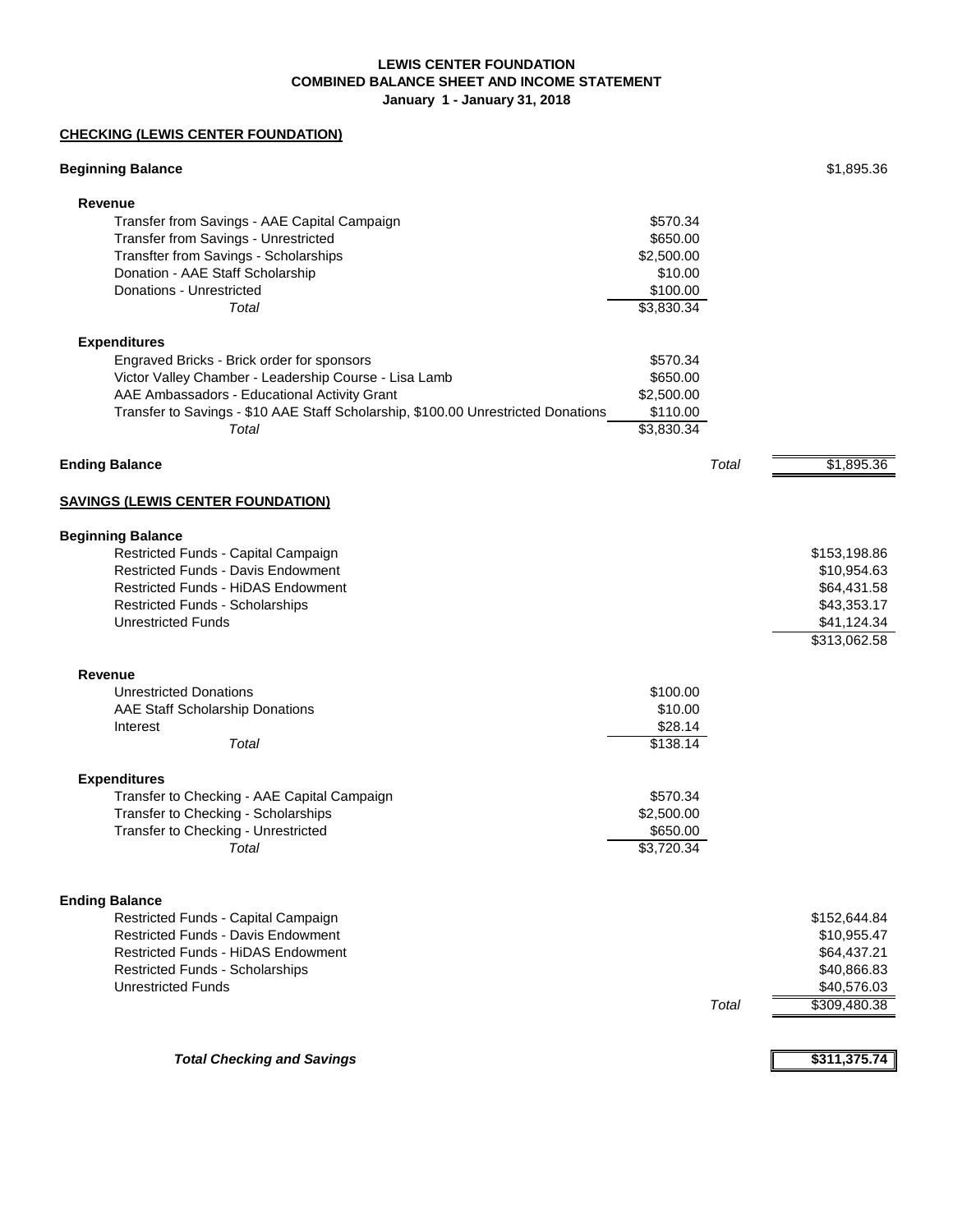#### **LEWIS CENTER FOUNDATION COMBINED BALANCE SHEET AND INCOME STATEMENT January 1 - January 31, 2018**

#### **CHECKING (LEWIS CENTER FOUNDATION)**

|  |  |  | Beginning Balance |
|--|--|--|-------------------|
|--|--|--|-------------------|

| <b>Beginning Balance</b>                                                          |            |       | \$1,895.36   |
|-----------------------------------------------------------------------------------|------------|-------|--------------|
| <b>Revenue</b>                                                                    |            |       |              |
| Transfer from Savings - AAE Capital Campaign                                      | \$570.34   |       |              |
| Transfer from Savings - Unrestricted                                              | \$650.00   |       |              |
| Transfter from Savings - Scholarships                                             | \$2,500.00 |       |              |
| Donation - AAE Staff Scholarship                                                  | \$10.00    |       |              |
| Donations - Unrestricted                                                          | \$100.00   |       |              |
| Total                                                                             | \$3,830.34 |       |              |
|                                                                                   |            |       |              |
| <b>Expenditures</b>                                                               |            |       |              |
| Engraved Bricks - Brick order for sponsors                                        | \$570.34   |       |              |
| Victor Valley Chamber - Leadership Course - Lisa Lamb                             | \$650.00   |       |              |
| AAE Ambassadors - Educational Activity Grant                                      | \$2,500.00 |       |              |
| Transfer to Savings - \$10 AAE Staff Scholarship, \$100.00 Unrestricted Donations | \$110.00   |       |              |
| Total                                                                             | \$3,830.34 |       |              |
|                                                                                   |            |       |              |
| <b>Ending Balance</b>                                                             |            | Total | \$1,895.36   |
| <u>SAVINGS (LEWIS CENTER FOUNDATION)</u>                                          |            |       |              |
| <b>Beginning Balance</b>                                                          |            |       |              |
| Restricted Funds - Capital Campaign                                               |            |       | \$153,198.86 |
| <b>Restricted Funds - Davis Endowment</b>                                         |            |       | \$10,954.63  |
| <b>Restricted Funds - HiDAS Endowment</b>                                         |            |       | \$64,431.58  |
|                                                                                   |            |       | \$43,353.17  |
| <b>Restricted Funds - Scholarships</b>                                            |            |       |              |
| <b>Unrestricted Funds</b>                                                         |            |       | \$41,124.34  |
|                                                                                   |            |       | \$313,062.58 |
| <b>Revenue</b>                                                                    |            |       |              |
| <b>Unrestricted Donations</b>                                                     | \$100.00   |       |              |
| AAE Staff Scholarship Donations                                                   | \$10.00    |       |              |
| Interest                                                                          | \$28.14    |       |              |
| Total                                                                             | \$138.14   |       |              |
|                                                                                   |            |       |              |
| <b>Expenditures</b>                                                               |            |       |              |
| Transfer to Checking - AAE Capital Campaign                                       | \$570.34   |       |              |
| Transfer to Checking - Scholarships                                               | \$2,500.00 |       |              |
| Transfer to Checking - Unrestricted                                               | \$650.00   |       |              |
| Total                                                                             | \$3,720.34 |       |              |
| <b>Ending Balance</b>                                                             |            |       |              |
| Restricted Funds - Capital Campaign                                               |            |       | \$152,644.84 |
| <b>Restricted Funds - Davis Endowment</b>                                         |            |       | \$10,955.47  |
| <b>Restricted Funds - HiDAS Endowment</b>                                         |            |       | \$64,437.21  |
| <b>Restricted Funds - Scholarships</b>                                            |            |       | \$40,866.83  |
| <b>Unrestricted Funds</b>                                                         |            |       | \$40,576.03  |
|                                                                                   |            |       |              |
|                                                                                   |            | Total | \$309,480.38 |
|                                                                                   |            |       |              |
| <b>Total Checking and Savings</b>                                                 |            |       | \$311,375.74 |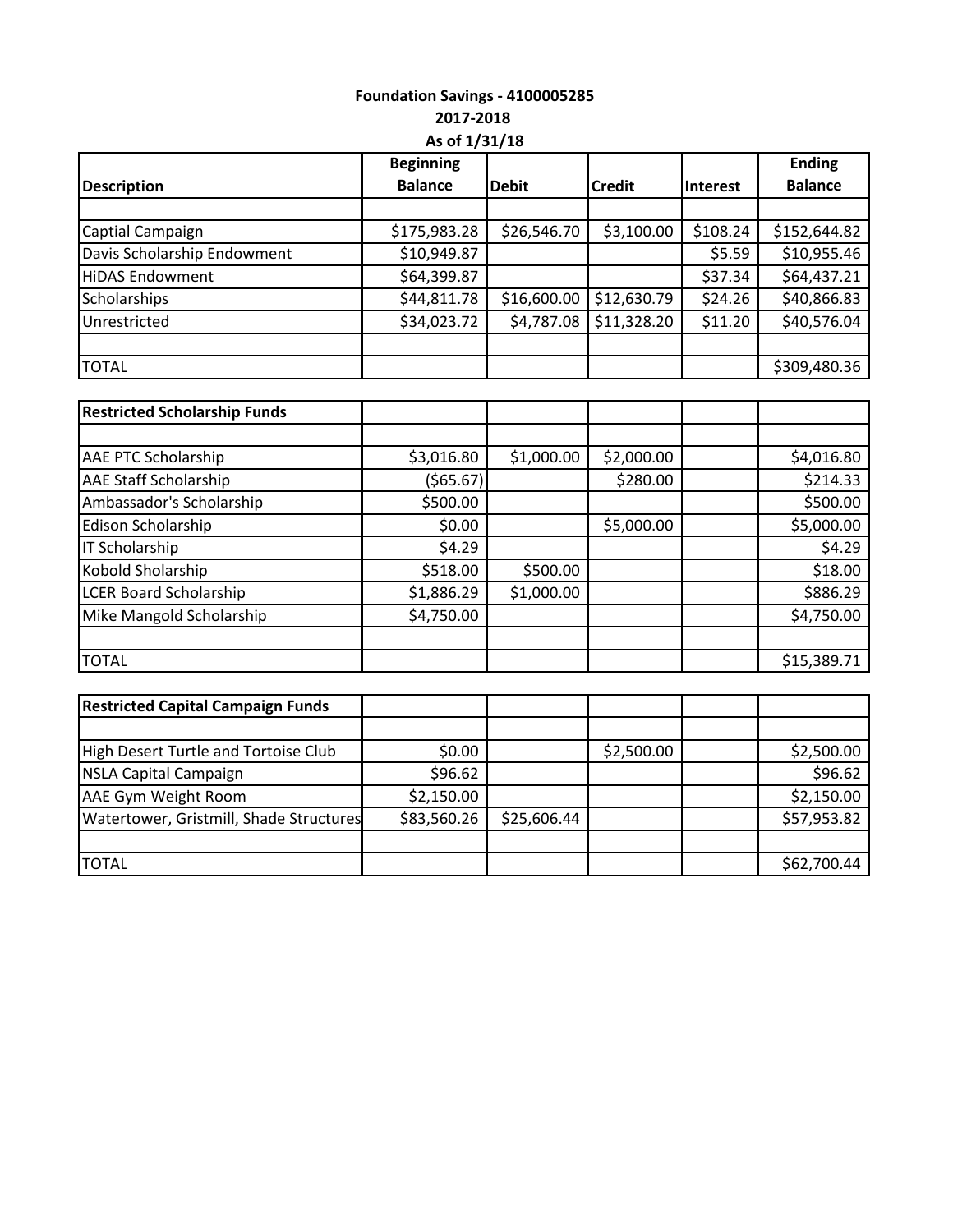## **Foundation Savings - 4100005285 2017-2018 As of 1/31/18**

|                             | <b>Beginning</b> |              |               |          | <b>Ending</b>  |
|-----------------------------|------------------|--------------|---------------|----------|----------------|
| <b>Description</b>          | <b>Balance</b>   | <b>Debit</b> | <b>Credit</b> | Interest | <b>Balance</b> |
|                             |                  |              |               |          |                |
| Captial Campaign            | \$175,983.28     | \$26,546.70  | \$3,100.00    | \$108.24 | \$152,644.82   |
| Davis Scholarship Endowment | \$10,949.87      |              |               | \$5.59   | \$10,955.46    |
| <b>HiDAS Endowment</b>      | \$64,399.87      |              |               | \$37.34  | \$64,437.21    |
| Scholarships                | \$44,811.78      | \$16,600.00  | \$12,630.79   | \$24.26  | \$40,866.83    |
| Unrestricted                | \$34,023.72      | \$4,787.08   | \$11,328.20   | \$11.20  | \$40,576.04    |
|                             |                  |              |               |          |                |
| <b>TOTAL</b>                |                  |              |               |          | \$309,480.36   |

| <b>Restricted Scholarship Funds</b> |            |            |            |             |
|-------------------------------------|------------|------------|------------|-------------|
|                                     |            |            |            |             |
| <b>AAE PTC Scholarship</b>          | \$3,016.80 | \$1,000.00 | \$2,000.00 | \$4,016.80  |
| <b>AAE Staff Scholarship</b>        | ( \$65.67) |            | \$280.00   | \$214.33    |
| Ambassador's Scholarship            | \$500.00   |            |            | \$500.00    |
| <b>Edison Scholarship</b>           | \$0.00     |            | \$5,000.00 | \$5,000.00  |
| IT Scholarship                      | \$4.29     |            |            | \$4.29      |
| Kobold Sholarship                   | \$518.00   | \$500.00   |            | \$18.00     |
| <b>LCER Board Scholarship</b>       | \$1,886.29 | \$1,000.00 |            | \$886.29    |
| Mike Mangold Scholarship            | \$4,750.00 |            |            | \$4,750.00  |
|                                     |            |            |            |             |
| <b>TOTAL</b>                        |            |            |            | \$15,389.71 |

| <b>Restricted Capital Campaign Funds</b> |             |             |            |             |
|------------------------------------------|-------------|-------------|------------|-------------|
|                                          |             |             |            |             |
| High Desert Turtle and Tortoise Club     | \$0.00      |             | \$2,500.00 | \$2,500.00  |
| NSLA Capital Campaign                    | \$96.62     |             |            | \$96.62     |
| AAE Gym Weight Room                      | \$2,150.00  |             |            | \$2,150.00  |
| Watertower, Gristmill, Shade Structures  | \$83,560.26 | \$25,606.44 |            | \$57,953.82 |
|                                          |             |             |            |             |
| <b>TOTAL</b>                             |             |             |            | \$62,700.44 |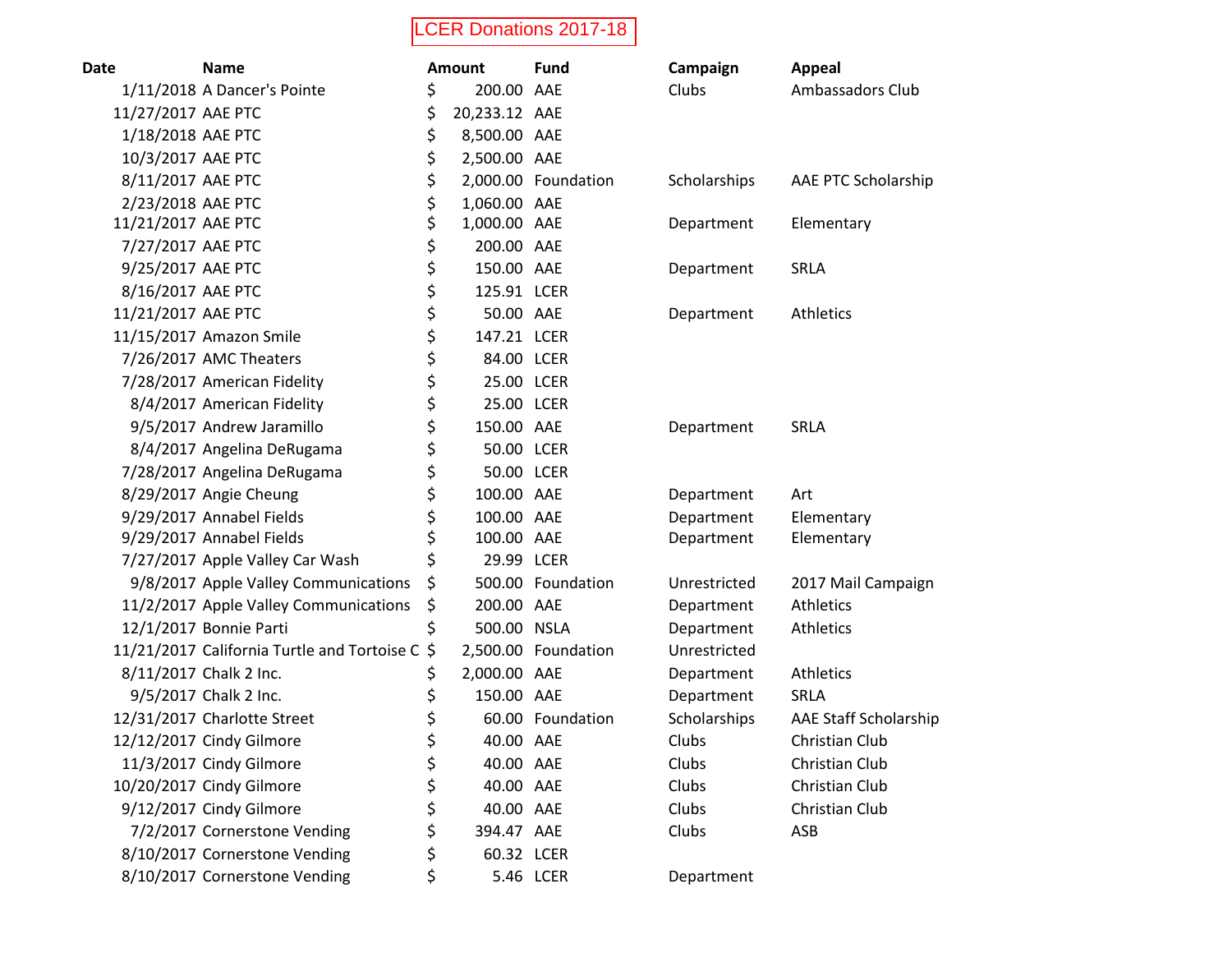# LCER Donations 2017-18

| <b>Date</b>        | <b>Name</b>                                 | <b>Amount</b>       | <b>Fund</b>         | Campaign     | <b>Appeal</b>         |
|--------------------|---------------------------------------------|---------------------|---------------------|--------------|-----------------------|
|                    | 1/11/2018 A Dancer's Pointe                 | \$<br>200.00 AAE    |                     | Clubs        | Ambassadors Club      |
| 11/27/2017 AAE PTC |                                             | \$<br>20,233.12 AAE |                     |              |                       |
| 1/18/2018 AAE PTC  |                                             | \$<br>8,500.00 AAE  |                     |              |                       |
| 10/3/2017 AAE PTC  |                                             | \$<br>2,500.00 AAE  |                     |              |                       |
| 8/11/2017 AAE PTC  |                                             | \$                  | 2,000.00 Foundation | Scholarships | AAE PTC Scholarship   |
| 2/23/2018 AAE PTC  |                                             | \$<br>1,060.00 AAE  |                     |              |                       |
| 11/21/2017 AAE PTC |                                             | \$<br>1,000.00 AAE  |                     | Department   | Elementary            |
| 7/27/2017 AAE PTC  |                                             | \$<br>200.00 AAE    |                     |              |                       |
| 9/25/2017 AAE PTC  |                                             | \$<br>150.00 AAE    |                     | Department   | <b>SRLA</b>           |
| 8/16/2017 AAE PTC  |                                             | \$<br>125.91 LCER   |                     |              |                       |
| 11/21/2017 AAE PTC |                                             | \$<br>50.00 AAE     |                     | Department   | Athletics             |
|                    | 11/15/2017 Amazon Smile                     | \$<br>147.21 LCER   |                     |              |                       |
|                    | 7/26/2017 AMC Theaters                      | \$<br>84.00 LCER    |                     |              |                       |
|                    | 7/28/2017 American Fidelity                 | \$<br>25.00 LCER    |                     |              |                       |
|                    | 8/4/2017 American Fidelity                  | \$<br>25.00 LCER    |                     |              |                       |
|                    | 9/5/2017 Andrew Jaramillo                   | \$<br>150.00 AAE    |                     | Department   | SRLA                  |
|                    | 8/4/2017 Angelina DeRugama                  | \$<br>50.00 LCER    |                     |              |                       |
|                    | 7/28/2017 Angelina DeRugama                 | \$<br>50.00 LCER    |                     |              |                       |
|                    | 8/29/2017 Angie Cheung                      | \$<br>100.00 AAE    |                     | Department   | Art                   |
|                    | 9/29/2017 Annabel Fields                    | \$<br>100.00 AAE    |                     | Department   | Elementary            |
|                    | 9/29/2017 Annabel Fields                    | \$<br>100.00 AAE    |                     | Department   | Elementary            |
|                    | 7/27/2017 Apple Valley Car Wash             | \$<br>29.99 LCER    |                     |              |                       |
|                    | 9/8/2017 Apple Valley Communications        | \$                  | 500.00 Foundation   | Unrestricted | 2017 Mail Campaign    |
|                    | 11/2/2017 Apple Valley Communications       | \$<br>200.00 AAE    |                     | Department   | Athletics             |
|                    | 12/1/2017 Bonnie Parti                      | \$<br>500.00 NSLA   |                     | Department   | Athletics             |
|                    | 11/21/2017 California Turtle and Tortoise C | \$                  | 2,500.00 Foundation | Unrestricted |                       |
|                    | 8/11/2017 Chalk 2 Inc.                      | \$<br>2,000.00 AAE  |                     | Department   | Athletics             |
|                    | 9/5/2017 Chalk 2 Inc.                       | \$<br>150.00 AAE    |                     | Department   | <b>SRLA</b>           |
|                    | 12/31/2017 Charlotte Street                 | \$                  | 60.00 Foundation    | Scholarships | AAE Staff Scholarship |
|                    | 12/12/2017 Cindy Gilmore                    | \$<br>40.00 AAE     |                     | Clubs        | Christian Club        |
|                    | 11/3/2017 Cindy Gilmore                     | \$<br>40.00 AAE     |                     | Clubs        | Christian Club        |
|                    | 10/20/2017 Cindy Gilmore                    | \$<br>40.00 AAE     |                     | Clubs        | Christian Club        |
|                    | 9/12/2017 Cindy Gilmore                     | \$<br>40.00 AAE     |                     | Clubs        | Christian Club        |
|                    | 7/2/2017 Cornerstone Vending                | \$<br>394.47 AAE    |                     | Clubs        | ASB                   |
|                    | 8/10/2017 Cornerstone Vending               | \$<br>60.32 LCER    |                     |              |                       |
|                    | 8/10/2017 Cornerstone Vending               | \$                  | 5.46 LCER           | Department   |                       |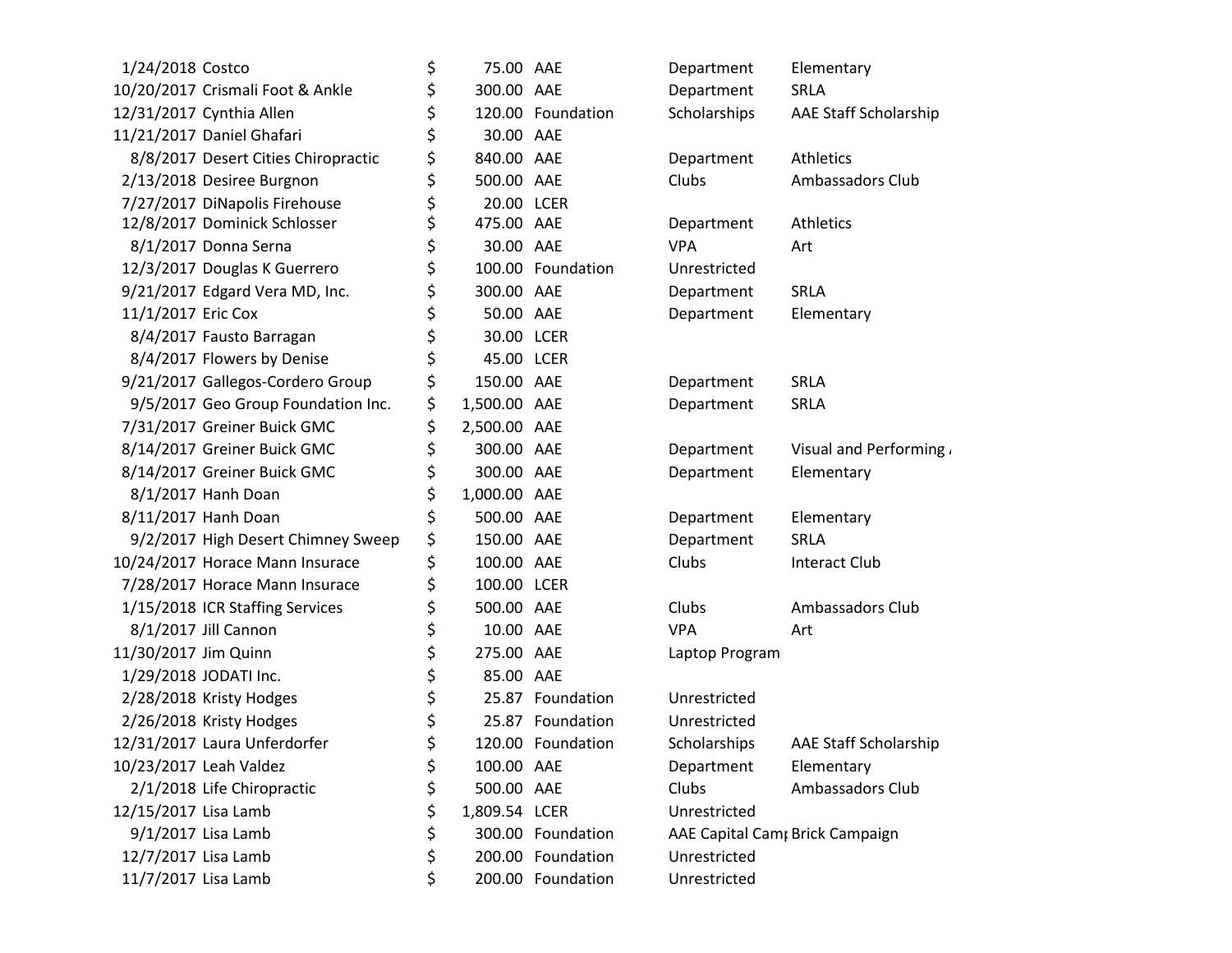| 1/24/2018 Costco         |                                     | \$<br>75.00 AAE     |                   | Department                                  | Elementary             |
|--------------------------|-------------------------------------|---------------------|-------------------|---------------------------------------------|------------------------|
|                          | 10/20/2017 Crismali Foot & Ankle    | \$<br>300.00 AAE    |                   | Department                                  | SRLA                   |
| 12/31/2017 Cynthia Allen |                                     | \$                  | 120.00 Foundation | Scholarships                                | AAE Staff Scholarship  |
|                          | 11/21/2017 Daniel Ghafari           | \$<br>30.00 AAE     |                   |                                             |                        |
|                          | 8/8/2017 Desert Cities Chiropractic | \$<br>840.00 AAE    |                   | Department                                  | Athletics              |
|                          | 2/13/2018 Desiree Burgnon           | \$<br>500.00 AAE    |                   | Clubs                                       | Ambassadors Club       |
|                          | 7/27/2017 DiNapolis Firehouse       | \$<br>20.00 LCER    |                   |                                             |                        |
|                          | 12/8/2017 Dominick Schlosser        | \$<br>475.00 AAE    |                   | Department                                  | Athletics              |
|                          | 8/1/2017 Donna Serna                | \$<br>30.00 AAE     |                   | <b>VPA</b>                                  | Art                    |
|                          | 12/3/2017 Douglas K Guerrero        | \$                  | 100.00 Foundation | Unrestricted                                |                        |
|                          | 9/21/2017 Edgard Vera MD, Inc.      | \$<br>300.00 AAE    |                   | Department                                  | SRLA                   |
| 11/1/2017 Eric Cox       |                                     | \$<br>50.00 AAE     |                   | Department                                  | Elementary             |
|                          | 8/4/2017 Fausto Barragan            | \$<br>30.00 LCER    |                   |                                             |                        |
|                          | 8/4/2017 Flowers by Denise          | \$<br>45.00 LCER    |                   |                                             |                        |
|                          | 9/21/2017 Gallegos-Cordero Group    | \$<br>150.00 AAE    |                   | Department                                  | SRLA                   |
|                          | 9/5/2017 Geo Group Foundation Inc.  | \$<br>1,500.00 AAE  |                   | Department                                  | <b>SRLA</b>            |
|                          | 7/31/2017 Greiner Buick GMC         | \$<br>2,500.00 AAE  |                   |                                             |                        |
|                          | 8/14/2017 Greiner Buick GMC         | \$<br>300.00 AAE    |                   | Department                                  | Visual and Performing, |
|                          | 8/14/2017 Greiner Buick GMC         | \$<br>300.00 AAE    |                   | Department                                  | Elementary             |
| 8/1/2017 Hanh Doan       |                                     | \$<br>1,000.00 AAE  |                   |                                             |                        |
| 8/11/2017 Hanh Doan      |                                     | \$<br>500.00 AAE    |                   | Department                                  | Elementary             |
|                          | 9/2/2017 High Desert Chimney Sweep  | \$<br>150.00 AAE    |                   | Department                                  | SRLA                   |
|                          | 10/24/2017 Horace Mann Insurace     | \$<br>100.00 AAE    |                   | Clubs                                       | Interact Club          |
|                          | 7/28/2017 Horace Mann Insurace      | \$<br>100.00 LCER   |                   |                                             |                        |
|                          | 1/15/2018 ICR Staffing Services     | \$<br>500.00 AAE    |                   | Clubs                                       | Ambassadors Club       |
| 8/1/2017 Jill Cannon     |                                     | \$<br>10.00 AAE     |                   | <b>VPA</b>                                  | Art                    |
| 11/30/2017 Jim Quinn     |                                     | \$<br>275.00 AAE    |                   | Laptop Program                              |                        |
| 1/29/2018 JODATI Inc.    |                                     | \$<br>85.00 AAE     |                   |                                             |                        |
|                          | 2/28/2018 Kristy Hodges             | \$                  | 25.87 Foundation  | Unrestricted                                |                        |
|                          | 2/26/2018 Kristy Hodges             | \$                  | 25.87 Foundation  | Unrestricted                                |                        |
|                          | 12/31/2017 Laura Unferdorfer        | \$                  | 120.00 Foundation | Scholarships                                | AAE Staff Scholarship  |
| 10/23/2017 Leah Valdez   |                                     | \$<br>100.00 AAE    |                   | Department                                  | Elementary             |
|                          | 2/1/2018 Life Chiropractic          | \$<br>500.00 AAE    |                   | Clubs                                       | Ambassadors Club       |
| 12/15/2017 Lisa Lamb     |                                     | \$<br>1,809.54 LCER |                   | Unrestricted                                |                        |
| 9/1/2017 Lisa Lamb       |                                     | \$                  | 300.00 Foundation | AAE Capital Cam <sub>I</sub> Brick Campaign |                        |
| 12/7/2017 Lisa Lamb      |                                     | \$                  | 200.00 Foundation | Unrestricted                                |                        |
| 11/7/2017 Lisa Lamb      |                                     | \$                  | 200.00 Foundation | Unrestricted                                |                        |
|                          |                                     |                     |                   |                                             |                        |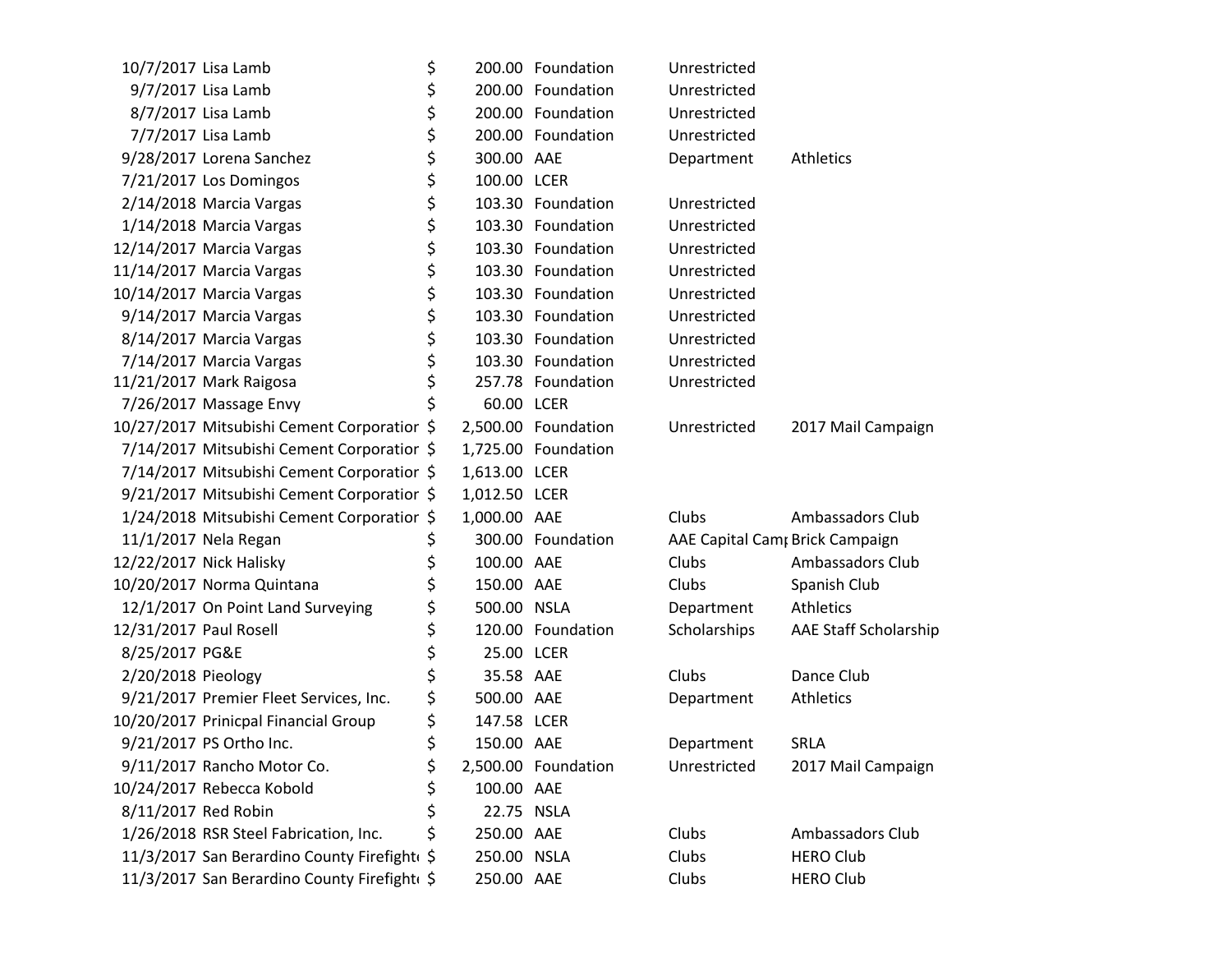| 10/7/2017 Lisa Lamb    |                                             | \$                | 200.00 Foundation   | Unrestricted                                |                       |
|------------------------|---------------------------------------------|-------------------|---------------------|---------------------------------------------|-----------------------|
|                        | 9/7/2017 Lisa Lamb                          | \$                | 200.00 Foundation   | Unrestricted                                |                       |
|                        | 8/7/2017 Lisa Lamb                          | \$                | 200.00 Foundation   | Unrestricted                                |                       |
|                        | 7/7/2017 Lisa Lamb                          | \$                | 200.00 Foundation   | Unrestricted                                |                       |
|                        | 9/28/2017 Lorena Sanchez                    | \$<br>300.00 AAE  |                     | Department                                  | Athletics             |
|                        | 7/21/2017 Los Domingos                      | \$<br>100.00 LCER |                     |                                             |                       |
|                        | 2/14/2018 Marcia Vargas                     | \$                | 103.30 Foundation   | Unrestricted                                |                       |
|                        | 1/14/2018 Marcia Vargas                     | \$                | 103.30 Foundation   | Unrestricted                                |                       |
|                        | 12/14/2017 Marcia Vargas                    | \$                | 103.30 Foundation   | Unrestricted                                |                       |
|                        | 11/14/2017 Marcia Vargas                    | \$                | 103.30 Foundation   | Unrestricted                                |                       |
|                        | 10/14/2017 Marcia Vargas                    | \$                | 103.30 Foundation   | Unrestricted                                |                       |
|                        | 9/14/2017 Marcia Vargas                     | \$                | 103.30 Foundation   | Unrestricted                                |                       |
|                        | 8/14/2017 Marcia Vargas                     | \$                | 103.30 Foundation   | Unrestricted                                |                       |
|                        | 7/14/2017 Marcia Vargas                     | \$                | 103.30 Foundation   | Unrestricted                                |                       |
|                        | 11/21/2017 Mark Raigosa                     | \$                | 257.78 Foundation   | Unrestricted                                |                       |
|                        | 7/26/2017 Massage Envy                      | \$<br>60.00 LCER  |                     |                                             |                       |
|                        | 10/27/2017 Mitsubishi Cement Corporatior \$ |                   | 2,500.00 Foundation | Unrestricted                                | 2017 Mail Campaign    |
|                        | 7/14/2017 Mitsubishi Cement Corporatior \$  |                   | 1,725.00 Foundation |                                             |                       |
|                        | 7/14/2017 Mitsubishi Cement Corporatior \$  | 1,613.00 LCER     |                     |                                             |                       |
|                        | 9/21/2017 Mitsubishi Cement Corporatior \$  | 1,012.50 LCER     |                     |                                             |                       |
|                        | 1/24/2018 Mitsubishi Cement Corporatior \$  | 1,000.00 AAE      |                     | Clubs                                       | Ambassadors Club      |
|                        | 11/1/2017 Nela Regan                        | \$                | 300.00 Foundation   | AAE Capital Cam <sub>I</sub> Brick Campaign |                       |
|                        | 12/22/2017 Nick Halisky                     | \$<br>100.00 AAE  |                     | Clubs                                       | Ambassadors Club      |
|                        | 10/20/2017 Norma Quintana                   | \$<br>150.00 AAE  |                     | Clubs                                       | Spanish Club          |
|                        | 12/1/2017 On Point Land Surveying           | \$<br>500.00 NSLA |                     | Department                                  | Athletics             |
| 12/31/2017 Paul Rosell |                                             | \$                | 120.00 Foundation   | Scholarships                                | AAE Staff Scholarship |
| 8/25/2017 PG&E         |                                             | \$<br>25.00 LCER  |                     |                                             |                       |
| 2/20/2018 Pieology     |                                             | \$<br>35.58 AAE   |                     | Clubs                                       | Dance Club            |
|                        | 9/21/2017 Premier Fleet Services, Inc.      | \$<br>500.00 AAE  |                     | Department                                  | Athletics             |
|                        | 10/20/2017 Prinicpal Financial Group        | \$<br>147.58 LCER |                     |                                             |                       |
|                        | 9/21/2017 PS Ortho Inc.                     | \$<br>150.00 AAE  |                     | Department                                  | SRLA                  |
|                        | 9/11/2017 Rancho Motor Co.                  | \$                | 2,500.00 Foundation | Unrestricted                                | 2017 Mail Campaign    |
|                        | 10/24/2017 Rebecca Kobold                   | \$<br>100.00 AAE  |                     |                                             |                       |
| 8/11/2017 Red Robin    |                                             | \$<br>22.75 NSLA  |                     |                                             |                       |
|                        | 1/26/2018 RSR Steel Fabrication, Inc.       | \$<br>250.00 AAE  |                     | Clubs                                       | Ambassadors Club      |
|                        | 11/3/2017 San Berardino County Firefight \$ | 250.00 NSLA       |                     | Clubs                                       | <b>HERO Club</b>      |
|                        | 11/3/2017 San Berardino County Firefight \$ | 250.00 AAE        |                     | Clubs                                       | <b>HERO Club</b>      |